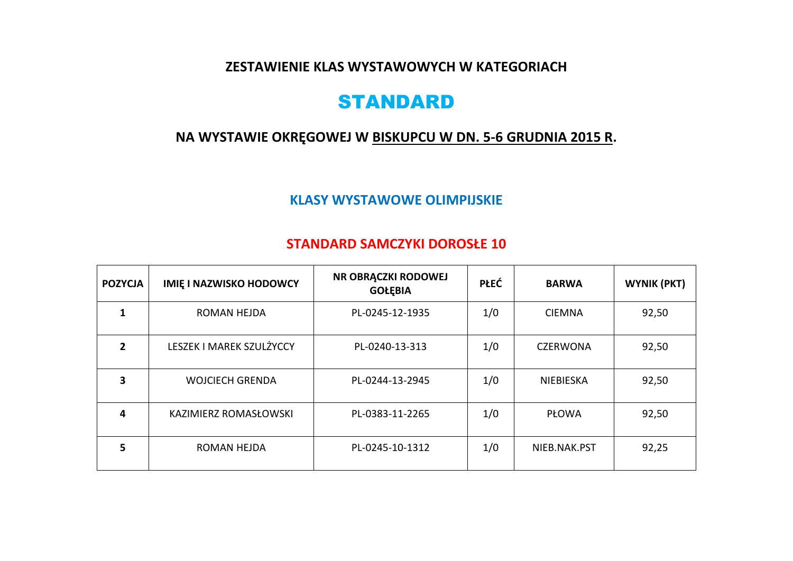**ZESTAWIENIE KLAS WYSTAWOWYCH W KATEGORIACH** 

# STANDARD

# **NA WYSTAWIE OKRĘGOWEJ W BISKUPCU W DN. 5-6 GRUDNIA 2015 R.**

#### **KLASY WYSTAWOWE OLIMPIJSKIE**

#### **STANDARD SAMCZYKI DOROSŁE 10**

| <b>POZYCJA</b> | <b>IMIE I NAZWISKO HODOWCY</b> | NR OBRACZKI RODOWEJ<br><b>GOŁĘBIA</b> | <b>PŁEĆ</b> | <b>BARWA</b>    | <b>WYNIK (PKT)</b> |
|----------------|--------------------------------|---------------------------------------|-------------|-----------------|--------------------|
|                | ROMAN HEJDA                    | PL-0245-12-1935                       | 1/0         | <b>CIEMNA</b>   | 92,50              |
| 2              | LESZEK I MAREK SZULŻYCCY       | PL-0240-13-313                        | 1/0         | <b>CZERWONA</b> | 92,50              |
| 3              | <b>WOJCIECH GRENDA</b>         | PL-0244-13-2945                       | 1/0         | NIEBIESKA       | 92,50              |
| 4              | KAZIMIERZ ROMASŁOWSKI          | PL-0383-11-2265                       | 1/0         | <b>PŁOWA</b>    | 92,50              |
| 5              | <b>ROMAN HEJDA</b>             | PL-0245-10-1312                       | 1/0         | NIEB.NAK.PST    | 92,25              |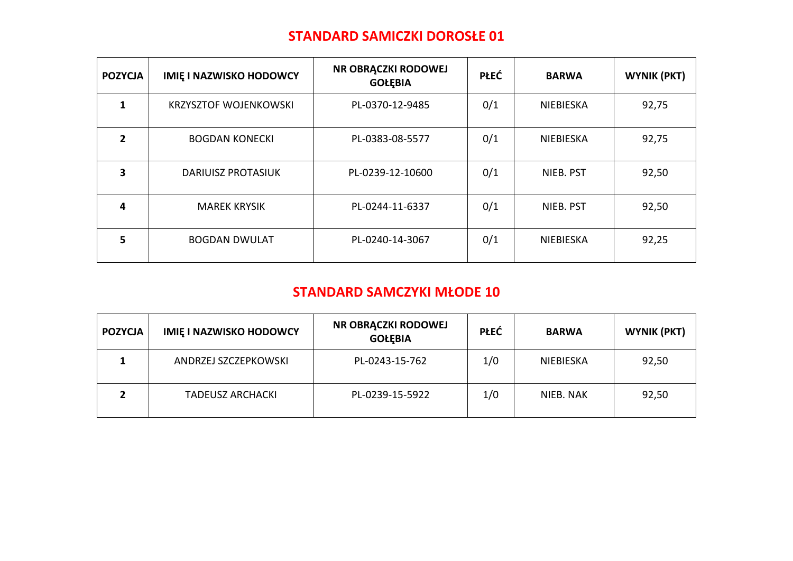## **STANDARD SAMICZKI DOROSŁE 01**

| <b>POZYCJA</b> | <b>IMIE I NAZWISKO HODOWCY</b> | NR OBRĄCZKI RODOWEJ<br><b>GOŁĘBIA</b> | <b>PŁEĆ</b> | <b>BARWA</b>     | <b>WYNIK (PKT)</b> |
|----------------|--------------------------------|---------------------------------------|-------------|------------------|--------------------|
|                | <b>KRZYSZTOF WOJENKOWSKI</b>   | PL-0370-12-9485                       | 0/1         | NIEBIESKA        | 92,75              |
| $\mathfrak z$  | <b>BOGDAN KONECKI</b>          | PL-0383-08-5577                       | 0/1         | <b>NIEBIESKA</b> | 92,75              |
| 3              | <b>DARIUISZ PROTASIUK</b>      | PL-0239-12-10600                      | 0/1         | NIEB. PST        | 92,50              |
| 4              | <b>MAREK KRYSIK</b>            | PL-0244-11-6337                       | 0/1         | NIEB. PST        | 92,50              |
| 5              | <b>BOGDAN DWULAT</b>           | PL-0240-14-3067                       | 0/1         | NIEBIESKA        | 92,25              |

#### **STANDARD SAMCZYKI MŁODE 10**

| <b>POZYCJA</b> | <b>IMIE I NAZWISKO HODOWCY</b> | NR OBRĄCZKI RODOWEJ<br><b>GOŁĘBIA</b> | <b>PŁEĆ</b> | <b>BARWA</b> | <b>WYNIK (PKT)</b> |
|----------------|--------------------------------|---------------------------------------|-------------|--------------|--------------------|
|                | ANDRZEJ SZCZEPKOWSKI           | PL-0243-15-762                        | 1/0         | NIEBIESKA    | 92,50              |
|                | <b>TADEUSZ ARCHACKI</b>        | PL-0239-15-5922                       | 1/0         | NIEB. NAK    | 92,50              |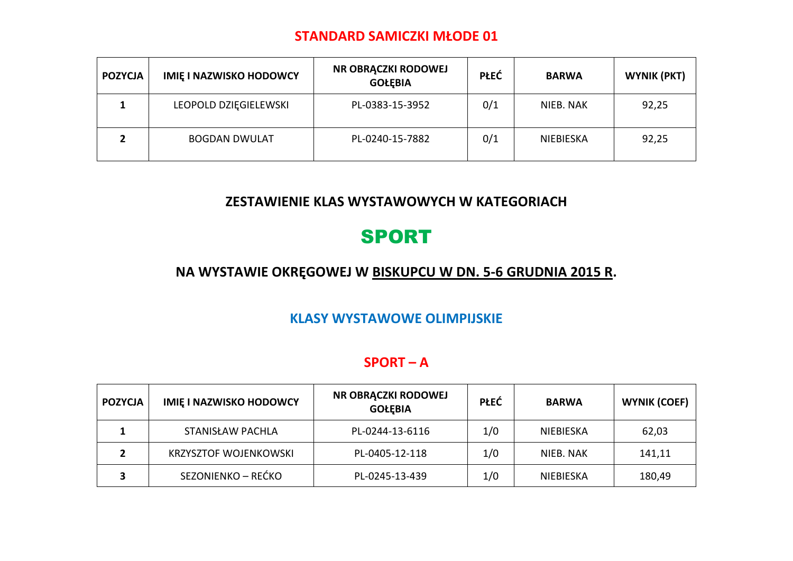## **STANDARD SAMICZKI MŁODE 01**

| <b>POZYCJA</b> | <b>IMIE I NAZWISKO HODOWCY</b> | NR OBRĄCZKI RODOWEJ<br><b>GOŁĘBIA</b> | <b>PŁEĆ</b> | <b>BARWA</b> | WYNIK (PKT) |
|----------------|--------------------------------|---------------------------------------|-------------|--------------|-------------|
|                | LEOPOLD DZIĘGIELEWSKI          | PL-0383-15-3952                       | 0/1         | NIEB. NAK    | 92,25       |
|                | <b>BOGDAN DWULAT</b>           | PL-0240-15-7882                       | 0/1         | NIEBIESKA    | 92,25       |

## **ZESTAWIENIE KLAS WYSTAWOWYCH W KATEGORIACH**

# SPORT

## **NA WYSTAWIE OKRĘGOWEJ W BISKUPCU W DN. 5-6 GRUDNIA 2015 R.**

#### **KLASY WYSTAWOWE OLIMPIJSKIE**

#### **SPORT – A**

| <b>POZYCJA</b> | <b>IMIE I NAZWISKO HODOWCY</b> | NR OBRACZKI RODOWEJ<br><b>GOŁĘBIA</b> | <b>PŁEĆ</b> | <b>BARWA</b> | <b>WYNIK (COEF)</b> |
|----------------|--------------------------------|---------------------------------------|-------------|--------------|---------------------|
|                | <b>STANISŁAW PACHLA</b>        | PL-0244-13-6116                       | 1/0         | NIEBIESKA    | 62,03               |
|                | <b>KRZYSZTOF WOJENKOWSKI</b>   | PL-0405-12-118                        | 1/0         | NIEB. NAK    | 141,11              |
|                | SEZONIENKO – REĆKO             | PL-0245-13-439                        | 1/0         | NIEBIESKA    | 180,49              |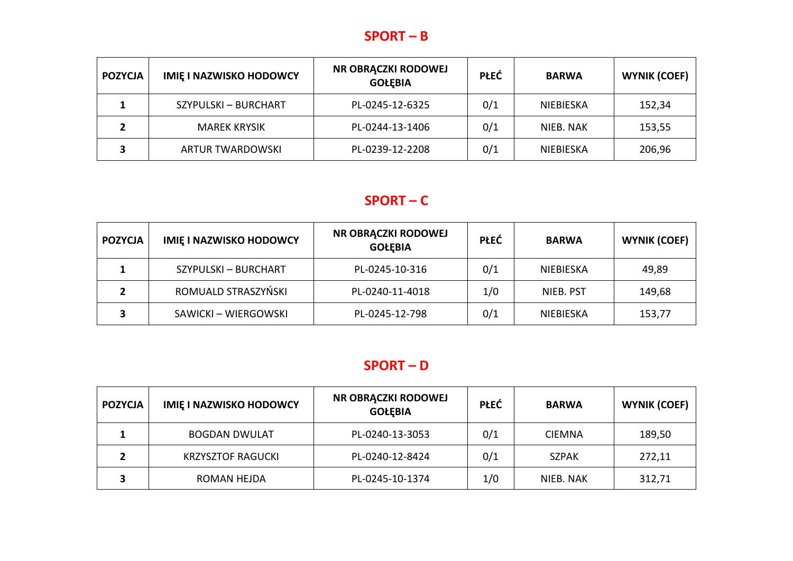## **SPORT – B**

| <b>POZYCJA</b> | <b>IMIE I NAZWISKO HODOWCY</b> | NR OBRĄCZKI RODOWEJ<br><b>GOŁĘBIA</b> | <b>PŁEĆ</b> | <b>BARWA</b> | <b>WYNIK (COEF)</b> |
|----------------|--------------------------------|---------------------------------------|-------------|--------------|---------------------|
|                | SZYPULSKI - BURCHART           | PL-0245-12-6325                       | 0/1         | NIEBIESKA    | 152,34              |
|                | <b>MAREK KRYSIK</b>            | PL-0244-13-1406                       | 0/1         | NIEB. NAK    | 153,55              |
|                | <b>ARTUR TWARDOWSKI</b>        | PL-0239-12-2208                       | 0/1         | NIEBIESKA    | 206,96              |

## **SPORT – C**

| <b>POZYCJA</b> | <b>IMIE I NAZWISKO HODOWCY</b> | NR OBRACZKI RODOWEJ<br><b>GOŁEBIA</b> | <b>PŁEĆ</b> | <b>BARWA</b> | WYNIK (COEF) |
|----------------|--------------------------------|---------------------------------------|-------------|--------------|--------------|
|                | SZYPULSKI – BURCHART           | PL-0245-10-316                        | 0/1         | NIEBIESKA    | 49,89        |
|                | ROMUALD STRASZYŃSKI            | PL-0240-11-4018                       | 1/0         | NIEB. PST    | 149,68       |
|                | SAWICKI – WIERGOWSKI           | PL-0245-12-798                        | 0/1         | NIEBIESKA    | 153,77       |

## **SPORT – D**

| <b>POZYCJA</b> | <b>IMIE I NAZWISKO HODOWCY</b> | NR OBRACZKI RODOWEJ<br><b>GOŁĘBIA</b> | <b>PŁEĆ</b> | <b>BARWA</b>  | <b>WYNIK (COEF)</b> |
|----------------|--------------------------------|---------------------------------------|-------------|---------------|---------------------|
|                | <b>BOGDAN DWULAT</b>           | PL-0240-13-3053                       | 0/1         | <b>CIEMNA</b> | 189,50              |
|                | <b>KRZYSZTOF RAGUCKI</b>       | PL-0240-12-8424                       | 0/1         | <b>SZPAK</b>  | 272,11              |
|                | ROMAN HEJDA                    | PL-0245-10-1374                       | 1/0         | NIEB. NAK     | 312,71              |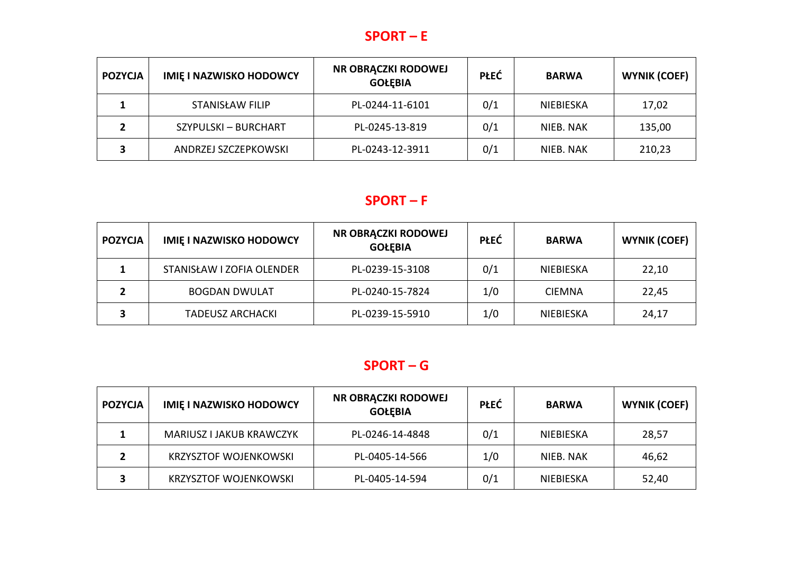## **SPORT – E**

| <b>POZYCJA</b> | <b>IMIE I NAZWISKO HODOWCY</b> | NR OBRACZKI RODOWEJ<br><b>GOŁEBIA</b> | <b>PŁEĆ</b> | <b>BARWA</b> | <b>WYNIK (COEF)</b> |
|----------------|--------------------------------|---------------------------------------|-------------|--------------|---------------------|
|                | <b>STANISŁAW FILIP</b>         | PL-0244-11-6101                       | 0/1         | NIEBIESKA    | 17,02               |
|                | SZYPULSKI – BURCHART           | PL-0245-13-819                        | 0/1         | NIEB. NAK    | 135,00              |
|                | ANDRZEJ SZCZEPKOWSKI           | PL-0243-12-3911                       | 0/1         | NIEB. NAK    | 210,23              |

#### **SPORT – F**

| <b>POZYCJA</b> | <b>IMIE I NAZWISKO HODOWCY</b> | NR OBRACZKI RODOWEJ<br><b>GOŁEBIA</b> | <b>PŁEĆ</b> | <b>BARWA</b>  | WYNIK (COEF) |
|----------------|--------------------------------|---------------------------------------|-------------|---------------|--------------|
|                | STANISŁAW I ZOFIA OLENDER      | PL-0239-15-3108                       | 0/1         | NIEBIESKA     | 22,10        |
|                | <b>BOGDAN DWULAT</b>           | PL-0240-15-7824                       | 1/0         | <b>CIEMNA</b> | 22,45        |
|                | <b>TADEUSZ ARCHACKI</b>        | PL-0239-15-5910                       | 1/0         | NIEBIESKA     | 24,17        |

## **SPORT – G**

| <b>POZYCJA</b> | <b>IMIE I NAZWISKO HODOWCY</b> | NR OBRACZKI RODOWEJ<br><b>GOŁĘBIA</b> | <b>PŁEĆ</b> | <b>BARWA</b> | <b>WYNIK (COEF)</b> |
|----------------|--------------------------------|---------------------------------------|-------------|--------------|---------------------|
|                | MARIUSZ I JAKUB KRAWCZYK       | PL-0246-14-4848                       | 0/1         | NIEBIESKA    | 28,57               |
|                | <b>KRZYSZTOF WOJENKOWSKI</b>   | PL-0405-14-566                        | 1/0         | NIEB. NAK    | 46,62               |
|                | <b>KRZYSZTOF WOJENKOWSKI</b>   | PL-0405-14-594                        | 0/1         | NIEBIESKA    | 52,40               |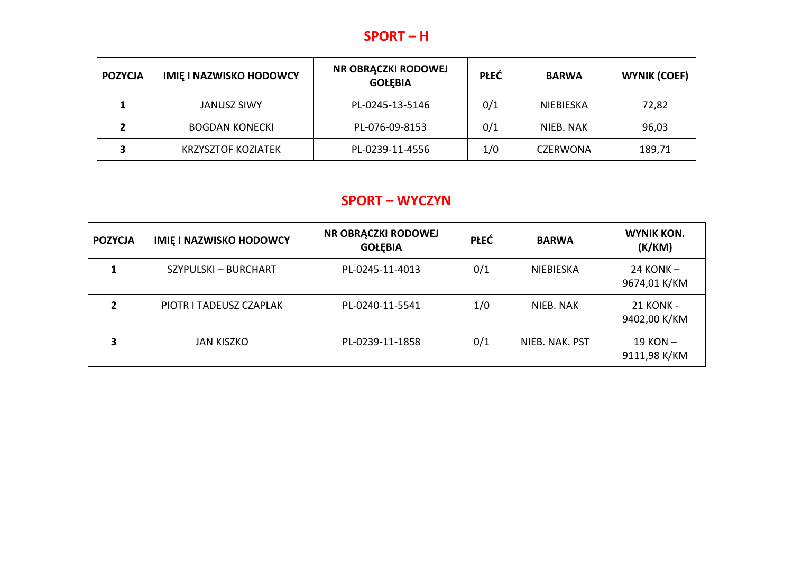## **SPORT – H**

| <b>POZYCJA</b> | <b>IMIE I NAZWISKO HODOWCY</b> | NR OBRĄCZKI RODOWEJ<br><b>GOŁĘBIA</b> | <b>PŁEĆ</b> | <b>BARWA</b>    | <b>WYNIK (COEF)</b> |
|----------------|--------------------------------|---------------------------------------|-------------|-----------------|---------------------|
|                | <b>JANUSZ SIWY</b>             | PL-0245-13-5146                       | 0/1         | NIEBIESKA       | 72,82               |
|                | <b>BOGDAN KONECKI</b>          | PL-076-09-8153                        | 0/1         | NIEB. NAK       | 96,03               |
|                | <b>KRZYSZTOF KOZIATEK</b>      | PL-0239-11-4556                       | 1/0         | <b>CZERWONA</b> | 189,71              |

#### **SPORT – WYCZYN**

| <b>POZYCJA</b> | <b>IMIE I NAZWISKO HODOWCY</b> | NR OBRĄCZKI RODOWEJ<br><b>GOŁĘBIA</b> | <b>PŁEĆ</b> | <b>BARWA</b>   | WYNIK KON.<br>(K/KM)             |
|----------------|--------------------------------|---------------------------------------|-------------|----------------|----------------------------------|
|                | SZYPULSKI – BURCHART           | PL-0245-11-4013                       | 0/1         | NIEBIESKA      | $24 KONK -$<br>9674,01 K/KM      |
| $\overline{2}$ | PIOTR I TADEUSZ CZAPLAK        | PL-0240-11-5541                       | 1/0         | NIEB. NAK      | <b>21 KONK -</b><br>9402,00 K/KM |
|                | <b>JAN KISZKO</b>              | PL-0239-11-1858                       | 0/1         | NIEB. NAK. PST | $19 KON -$<br>9111,98 K/KM       |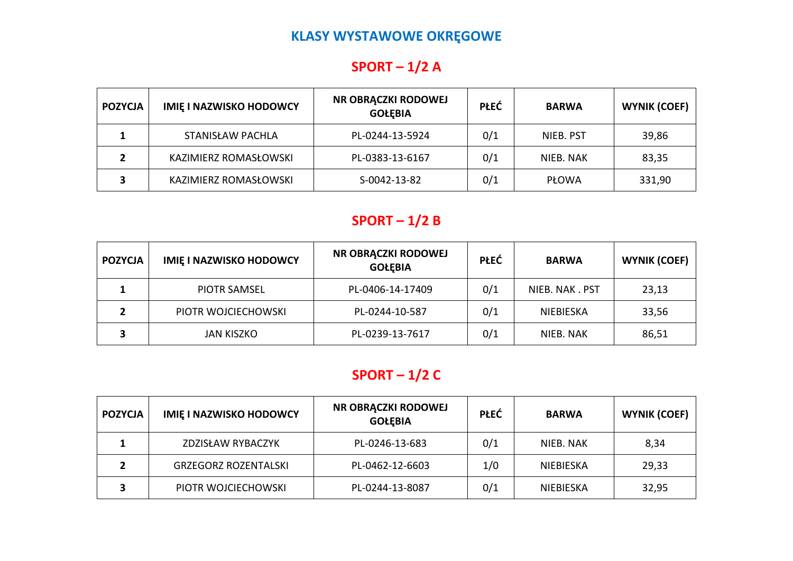# **KLASY WYSTAWOWE OKRĘGOWE**

# $SPORT - 1/2 A$

| <b>POZYCJA</b> | <b>IMIE I NAZWISKO HODOWCY</b> | NR OBRACZKI RODOWEJ<br><b>GOŁĘBIA</b> | <b>PŁEĆ</b> | <b>BARWA</b> | <b>WYNIK (COEF)</b> |
|----------------|--------------------------------|---------------------------------------|-------------|--------------|---------------------|
|                | <b>STANISŁAW PACHLA</b>        | PL-0244-13-5924                       | 0/1         | NIEB. PST    | 39,86               |
|                | KAZIMIERZ ROMASŁOWSKI          | PL-0383-13-6167                       | 0/1         | NIEB. NAK    | 83,35               |
|                | KAZIMIERZ ROMASŁOWSKI          | S-0042-13-82                          | 0/1         | PŁOWA        | 331,90              |

## **SPORT – 1/2 B**

| <b>POZYCJA</b> | <b>IMIE I NAZWISKO HODOWCY</b> | NR OBRACZKI RODOWEJ<br><b>GOŁĘBIA</b> | <b>PŁEĆ</b> | <b>BARWA</b>     | <b>WYNIK (COEF)</b> |
|----------------|--------------------------------|---------------------------------------|-------------|------------------|---------------------|
|                | <b>PIOTR SAMSEL</b>            | PL-0406-14-17409                      | 0/1         | NIEB. NAK. PST   | 23,13               |
|                | PIOTR WOJCIECHOWSKI            | PL-0244-10-587                        | 0/1         | <b>NIEBIESKA</b> | 33,56               |
|                | <b>JAN KISZKO</b>              | PL-0239-13-7617                       | 0/1         | NIEB. NAK        | 86,51               |

## **SPORT – 1/2 C**

| <b>POZYCJA</b> | <b>IMIE I NAZWISKO HODOWCY</b> | NR OBRACZKI RODOWEJ<br><b>GOŁEBIA</b> | <b>PŁEĆ</b> | <b>BARWA</b>     | <b>WYNIK (COEF)</b> |
|----------------|--------------------------------|---------------------------------------|-------------|------------------|---------------------|
|                | ZDZISŁAW RYBACZYK              | PL-0246-13-683                        | 0/1         | NIEB. NAK        | 8,34                |
|                | <b>GRZEGORZ ROZENTALSKI</b>    | PL-0462-12-6603                       | 1/0         | NIEBIESKA        | 29,33               |
|                | PIOTR WOJCIECHOWSKI            | PL-0244-13-8087                       | 0/1         | <b>NIEBIESKA</b> | 32,95               |